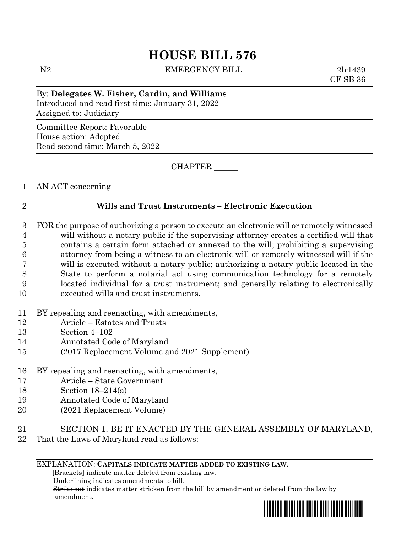# **HOUSE BILL 576**

N2 EMERGENCY BILL 2lr1439

CF SB 36

By: **Delegates W. Fisher, Cardin, and Williams** Introduced and read first time: January 31, 2022 Assigned to: Judiciary

Committee Report: Favorable House action: Adopted Read second time: March 5, 2022

CHAPTER \_\_\_\_\_\_

1 AN ACT concerning

# 2 **Wills and Trust Instruments – Electronic Execution**

 FOR the purpose of authorizing a person to execute an electronic will or remotely witnessed will without a notary public if the supervising attorney creates a certified will that contains a certain form attached or annexed to the will; prohibiting a supervising attorney from being a witness to an electronic will or remotely witnessed will if the will is executed without a notary public; authorizing a notary public located in the State to perform a notarial act using communication technology for a remotely located individual for a trust instrument; and generally relating to electronically executed wills and trust instruments.

- 11 BY repealing and reenacting, with amendments,
- 12 Article Estates and Trusts
- 13 Section 4–102
- 14 Annotated Code of Maryland
- 15 (2017 Replacement Volume and 2021 Supplement)
- 16 BY repealing and reenacting, with amendments,
- 17 Article State Government
- 18 Section 18–214(a)
- 19 Annotated Code of Maryland
- 20 (2021 Replacement Volume)
- 21 SECTION 1. BE IT ENACTED BY THE GENERAL ASSEMBLY OF MARYLAND,
- 22 That the Laws of Maryland read as follows:

# EXPLANATION: **CAPITALS INDICATE MATTER ADDED TO EXISTING LAW**.

 **[**Brackets**]** indicate matter deleted from existing law.

Underlining indicates amendments to bill.

 Strike out indicates matter stricken from the bill by amendment or deleted from the law by amendment.

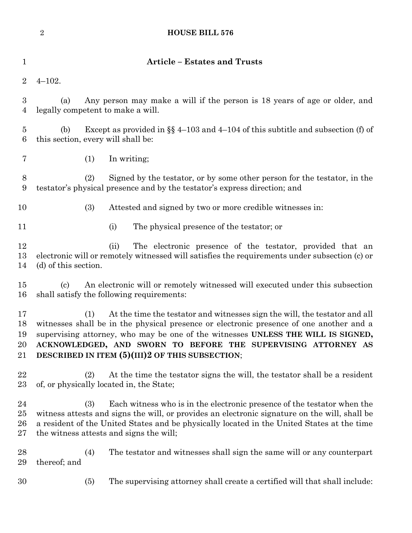|                              | <b>HOUSE BILL 576</b><br>$\overline{2}$                                                                                                                                                                                                                                                                                                                                              |  |  |  |  |  |  |
|------------------------------|--------------------------------------------------------------------------------------------------------------------------------------------------------------------------------------------------------------------------------------------------------------------------------------------------------------------------------------------------------------------------------------|--|--|--|--|--|--|
| $\mathbf{1}$                 | <b>Article - Estates and Trusts</b>                                                                                                                                                                                                                                                                                                                                                  |  |  |  |  |  |  |
| $\overline{2}$               | $4 - 102.$                                                                                                                                                                                                                                                                                                                                                                           |  |  |  |  |  |  |
| 3<br>$\overline{4}$          | Any person may make a will if the person is 18 years of age or older, and<br>(a)<br>legally competent to make a will.                                                                                                                                                                                                                                                                |  |  |  |  |  |  |
| $\overline{5}$<br>6          | Except as provided in $\S$ 4-103 and 4-104 of this subtitle and subsection (f) of<br>(b)<br>this section, every will shall be:                                                                                                                                                                                                                                                       |  |  |  |  |  |  |
| 7                            | (1)<br>In writing;                                                                                                                                                                                                                                                                                                                                                                   |  |  |  |  |  |  |
| 8<br>9                       | (2)<br>Signed by the testator, or by some other person for the testator, in the<br>testator's physical presence and by the testator's express direction; and                                                                                                                                                                                                                         |  |  |  |  |  |  |
| 10                           | (3)<br>Attested and signed by two or more credible witnesses in:                                                                                                                                                                                                                                                                                                                     |  |  |  |  |  |  |
| 11                           | The physical presence of the testator; or<br>(i)                                                                                                                                                                                                                                                                                                                                     |  |  |  |  |  |  |
| 12<br>13<br>14               | The electronic presence of the testator, provided that an<br>(ii)<br>electronic will or remotely witnessed will satisfies the requirements under subsection (c) or<br>(d) of this section.                                                                                                                                                                                           |  |  |  |  |  |  |
| 15<br>16                     | An electronic will or remotely witnessed will executed under this subsection<br>(c)<br>shall satisfy the following requirements:                                                                                                                                                                                                                                                     |  |  |  |  |  |  |
| 17<br>18<br>19<br>20<br>21   | At the time the testator and witnesses sign the will, the testator and all<br>(1)<br>witnesses shall be in the physical presence or electronic presence of one another and a<br>supervising attorney, who may be one of the witnesses UNLESS THE WILL IS SIGNED,<br>ACKNOWLEDGED, AND SWORN TO BEFORE THE SUPERVISING ATTORNEY AS<br>DESCRIBED IN ITEM (5)(III)2 OF THIS SUBSECTION; |  |  |  |  |  |  |
| 22<br>23                     | (2)<br>At the time the testator signs the will, the testator shall be a resident<br>of, or physically located in, the State;                                                                                                                                                                                                                                                         |  |  |  |  |  |  |
| 24<br>$25\,$<br>26<br>$27\,$ | Each witness who is in the electronic presence of the testator when the<br>(3)<br>witness attests and signs the will, or provides an electronic signature on the will, shall be<br>a resident of the United States and be physically located in the United States at the time<br>the witness attests and signs the will;                                                             |  |  |  |  |  |  |
| 28<br>29                     | The testator and witnesses shall sign the same will or any counterpart<br>(4)<br>thereof; and                                                                                                                                                                                                                                                                                        |  |  |  |  |  |  |
| 30                           | The supervising attorney shall create a certified will that shall include:<br>(5)                                                                                                                                                                                                                                                                                                    |  |  |  |  |  |  |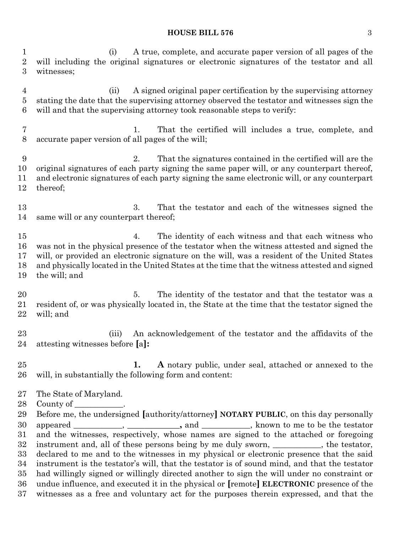#### **HOUSE BILL 576** 3

 (i) A true, complete, and accurate paper version of all pages of the will including the original signatures or electronic signatures of the testator and all witnesses;

 (ii) A signed original paper certification by the supervising attorney stating the date that the supervising attorney observed the testator and witnesses sign the will and that the supervising attorney took reasonable steps to verify:

 1. That the certified will includes a true, complete, and accurate paper version of all pages of the will;

 2. That the signatures contained in the certified will are the original signatures of each party signing the same paper will, or any counterpart thereof, and electronic signatures of each party signing the same electronic will, or any counterpart thereof;

 3. That the testator and each of the witnesses signed the same will or any counterpart thereof;

 4. The identity of each witness and that each witness who was not in the physical presence of the testator when the witness attested and signed the will, or provided an electronic signature on the will, was a resident of the United States and physically located in the United States at the time that the witness attested and signed the will; and

 5. The identity of the testator and that the testator was a resident of, or was physically located in, the State at the time that the testator signed the will; and

 (iii) An acknowledgement of the testator and the affidavits of the attesting witnesses before **[**a**]:**

 **1. A** notary public, under seal, attached or annexed to the will, in substantially the following form and content:

- The State of Maryland.
- 28 County of

 Before me, the undersigned **[**authority/attorney**] NOTARY PUBLIC**, on this day personally appeared \_\_\_\_\_\_\_\_\_\_\_\_, **\_\_\_\_\_\_\_\_\_\_\_\_,** and \_\_\_\_\_\_\_\_\_\_\_\_, known to me to be the testator and the witnesses, respectively, whose names are signed to the attached or foregoing 32 instrument and, all of these persons being by me duly sworn, \_\_\_\_\_\_\_\_\_, the testator, declared to me and to the witnesses in my physical or electronic presence that the said instrument is the testator's will, that the testator is of sound mind, and that the testator had willingly signed or willingly directed another to sign the will under no constraint or undue influence, and executed it in the physical or **[**remote**] ELECTRONIC** presence of the witnesses as a free and voluntary act for the purposes therein expressed, and that the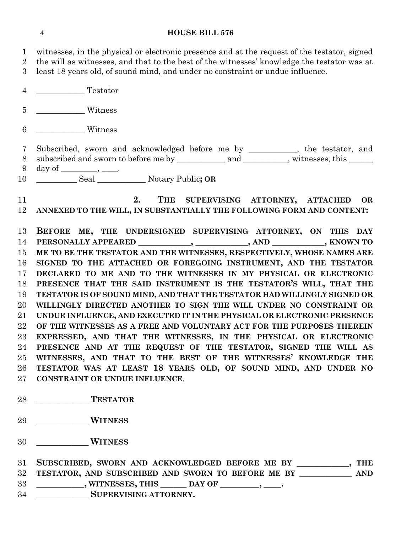### **HOUSE BILL 576**

 witnesses, in the physical or electronic presence and at the request of the testator, signed the will as witnesses, and that to the best of the witnesses' knowledge the testator was at least 18 years old, of sound mind, and under no constraint or undue influence. \_\_\_\_\_\_\_\_\_\_\_\_ Testator \_\_\_\_\_\_\_\_\_\_\_\_ Witness \_\_\_\_\_\_\_\_\_\_\_\_ Witness Subscribed, sworn and acknowledged before me by \_\_\_\_\_\_\_\_\_\_\_\_, the testator, and 8 subscribed and sworn to before me by \_\_\_\_\_\_\_\_\_\_\_\_\_\_\_\_\_\_\_\_\_\_\_\_\_\_\_\_, witnesses, this \_\_\_\_\_\_\_\_\_\_\_\_\_\_\_  $9 \quad \text{day of} \_\_\_\_\_\_\$  \_\_\_\_\_\_\_\_\_\_ Seal \_\_\_\_\_\_\_\_\_\_\_\_ Notary Public**; OR 2. THE SUPERVISING ATTORNEY, ATTACHED OR ANNEXED TO THE WILL, IN SUBSTANTIALLY THE FOLLOWING FORM AND CONTENT: BEFORE ME, THE UNDERSIGNED SUPERVISING ATTORNEY, ON THIS DAY PERSONALLY APPEARED \_\_\_\_\_\_\_\_\_\_\_\_, \_\_\_\_\_\_\_\_\_\_\_\_, AND \_\_\_\_\_\_\_\_\_\_\_\_, KNOWN TO ME TO BE THE TESTATOR AND THE WITNESSES, RESPECTIVELY, WHOSE NAMES ARE SIGNED TO THE ATTACHED OR FOREGOING INSTRUMENT, AND THE TESTATOR DECLARED TO ME AND TO THE WITNESSES IN MY PHYSICAL OR ELECTRONIC PRESENCE THAT THE SAID INSTRUMENT IS THE TESTATOR'S WILL, THAT THE TESTATOR IS OF SOUND MIND, AND THAT THE TESTATOR HAD WILLINGLY SIGNED OR WILLINGLY DIRECTED ANOTHER TO SIGN THE WILL UNDER NO CONSTRAINT OR UNDUE INFLUENCE, AND EXECUTED IT IN THE PHYSICAL OR ELECTRONIC PRESENCE OF THE WITNESSES AS A FREE AND VOLUNTARY ACT FOR THE PURPOSES THEREIN EXPRESSED, AND THAT THE WITNESSES, IN THE PHYSICAL OR ELECTRONIC PRESENCE AND AT THE REQUEST OF THE TESTATOR, SIGNED THE WILL AS WITNESSES, AND THAT TO THE BEST OF THE WITNESSES' KNOWLEDGE THE TESTATOR WAS AT LEAST 18 YEARS OLD, OF SOUND MIND, AND UNDER NO CONSTRAINT OR UNDUE INFLUENCE**. **\_\_\_\_\_\_\_\_\_\_\_\_ TESTATOR \_\_\_\_\_\_\_\_\_\_\_\_ WITNESS**

**\_\_\_\_\_\_\_\_\_\_\_\_ WITNESS**

 **SUBSCRIBED, SWORN AND ACKNOWLEDGED BEFORE ME BY \_\_\_\_\_\_\_\_\_\_\_\_, THE TESTATOR, AND SUBSCRIBED AND SWORN TO BEFORE ME BY \_\_\_\_\_\_\_\_\_\_\_\_ AND \_\_\_\_\_\_\_\_\_\_\_, WITNESSES, THIS \_\_\_\_\_\_ DAY OF \_\_\_\_\_\_\_\_\_, \_\_\_\_. \_\_\_\_\_\_\_\_\_\_\_\_ SUPERVISING ATTORNEY.**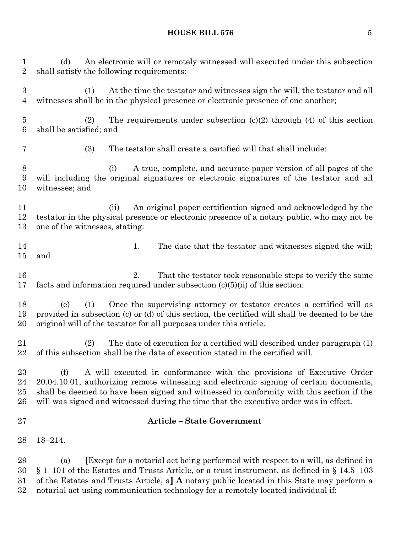# **HOUSE BILL 576** 5

 (d) An electronic will or remotely witnessed will executed under this subsection shall satisfy the following requirements: (1) At the time the testator and witnesses sign the will, the testator and all witnesses shall be in the physical presence or electronic presence of one another; (2) The requirements under subsection (c)(2) through (4) of this section shall be satisfied; and (3) The testator shall create a certified will that shall include: (i) A true, complete, and accurate paper version of all pages of the will including the original signatures or electronic signatures of the testator and all witnesses; and (ii) An original paper certification signed and acknowledged by the testator in the physical presence or electronic presence of a notary public, who may not be one of the witnesses, stating: 14 1. The date that the testator and witnesses signed the will; and 16 2. That the testator took reasonable steps to verify the same facts and information required under subsection (c)(5)(ii) of this section. (e) (1) Once the supervising attorney or testator creates a certified will as provided in subsection (c) or (d) of this section, the certified will shall be deemed to be the original will of the testator for all purposes under this article. (2) The date of execution for a certified will described under paragraph (1) of this subsection shall be the date of execution stated in the certified will. (f) A will executed in conformance with the provisions of Executive Order 20.04.10.01, authorizing remote witnessing and electronic signing of certain documents, shall be deemed to have been signed and witnessed in conformity with this section if the will was signed and witnessed during the time that the executive order was in effect. **Article – State Government** 18–214. (a) **[**Except for a notarial act being performed with respect to a will, as defined in § 1–101 of the Estates and Trusts Article, or a trust instrument, as defined in § 14.5–103 of the Estates and Trusts Article, a**] A** notary public located in this State may perform a

notarial act using communication technology for a remotely located individual if: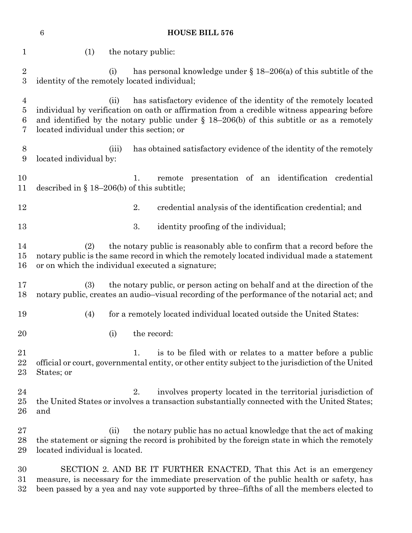| $\,6\,$<br><b>HOUSE BILL 576</b>           |                                                                                                                                                                                                                                                                                                                    |       |             |  |                                                                                                                                                             |  |  |
|--------------------------------------------|--------------------------------------------------------------------------------------------------------------------------------------------------------------------------------------------------------------------------------------------------------------------------------------------------------------------|-------|-------------|--|-------------------------------------------------------------------------------------------------------------------------------------------------------------|--|--|
| $\mathbf 1$                                | (1)<br>the notary public:                                                                                                                                                                                                                                                                                          |       |             |  |                                                                                                                                                             |  |  |
| $\sqrt{2}$<br>$\overline{3}$               | has personal knowledge under $\S 18-206$ (a) of this subtitle of the<br>(i)<br>identity of the remotely located individual;                                                                                                                                                                                        |       |             |  |                                                                                                                                                             |  |  |
| $\overline{4}$<br>$\overline{5}$<br>6<br>7 | has satisfactory evidence of the identity of the remotely located<br>(ii)<br>individual by verification on oath or affirmation from a credible witness appearing before<br>and identified by the notary public under $\S$ 18-206(b) of this subtitle or as a remotely<br>located individual under this section; or |       |             |  |                                                                                                                                                             |  |  |
| 8<br>9                                     | located individual by:                                                                                                                                                                                                                                                                                             | (iii) |             |  | has obtained satisfactory evidence of the identity of the remotely                                                                                          |  |  |
| 10<br>11                                   | presentation of an identification credential<br>remote<br>1.<br>described in $\S$ 18–206(b) of this subtitle;                                                                                                                                                                                                      |       |             |  |                                                                                                                                                             |  |  |
| 12                                         |                                                                                                                                                                                                                                                                                                                    |       | 2.          |  | credential analysis of the identification credential; and                                                                                                   |  |  |
| 13                                         |                                                                                                                                                                                                                                                                                                                    |       | 3.          |  | identity proofing of the individual;                                                                                                                        |  |  |
| 14<br>15<br>16                             | the notary public is reasonably able to confirm that a record before the<br>(2)<br>notary public is the same record in which the remotely located individual made a statement<br>or on which the individual executed a signature;                                                                                  |       |             |  |                                                                                                                                                             |  |  |
| 17<br>18                                   | (3)<br>the notary public, or person acting on behalf and at the direction of the<br>notary public, creates an audio-visual recording of the performance of the notarial act; and                                                                                                                                   |       |             |  |                                                                                                                                                             |  |  |
| 19                                         | (4)                                                                                                                                                                                                                                                                                                                |       |             |  | for a remotely located individual located outside the United States:                                                                                        |  |  |
| 20                                         |                                                                                                                                                                                                                                                                                                                    | (i)   | the record: |  |                                                                                                                                                             |  |  |
| 21<br>22<br>23                             | is to be filed with or relates to a matter before a public<br>1.<br>official or court, governmental entity, or other entity subject to the jurisdiction of the United<br>States; or                                                                                                                                |       |             |  |                                                                                                                                                             |  |  |
| 24<br>25<br>26                             | and                                                                                                                                                                                                                                                                                                                |       | 2.          |  | involves property located in the territorial jurisdiction of<br>the United States or involves a transaction substantially connected with the United States; |  |  |
| 27<br>28<br>29                             | the notary public has no actual knowledge that the act of making<br>(ii)<br>the statement or signing the record is prohibited by the foreign state in which the remotely<br>located individual is located.                                                                                                         |       |             |  |                                                                                                                                                             |  |  |
| 30<br>31<br>32                             | SECTION 2. AND BE IT FURTHER ENACTED, That this Act is an emergency<br>measure, is necessary for the immediate preservation of the public health or safety, has<br>been passed by a yea and nay vote supported by three-fifths of all the members elected to                                                       |       |             |  |                                                                                                                                                             |  |  |